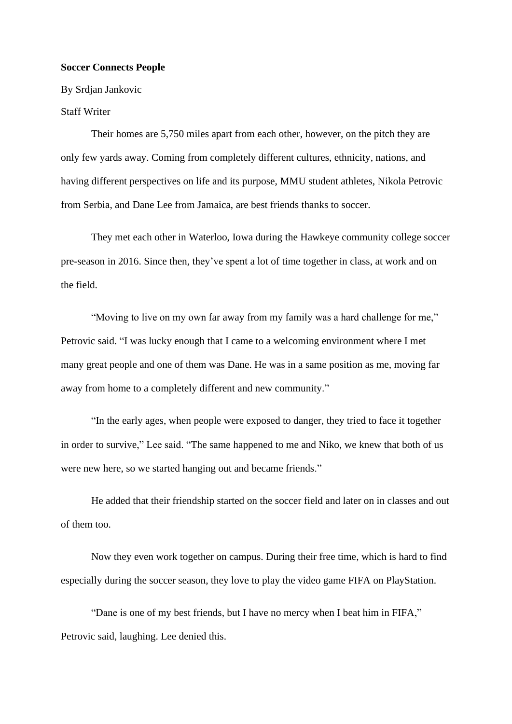## **Soccer Connects People**

By Srdjan Jankovic

## Staff Writer

Their homes are 5,750 miles apart from each other, however, on the pitch they are only few yards away. Coming from completely different cultures, ethnicity, nations, and having different perspectives on life and its purpose, MMU student athletes, Nikola Petrovic from Serbia, and Dane Lee from Jamaica, are best friends thanks to soccer.

They met each other in Waterloo, Iowa during the Hawkeye community college soccer pre-season in 2016. Since then, they've spent a lot of time together in class, at work and on the field.

"Moving to live on my own far away from my family was a hard challenge for me," Petrovic said. "I was lucky enough that I came to a welcoming environment where I met many great people and one of them was Dane. He was in a same position as me, moving far away from home to a completely different and new community."

"In the early ages, when people were exposed to danger, they tried to face it together in order to survive," Lee said. "The same happened to me and Niko, we knew that both of us were new here, so we started hanging out and became friends."

He added that their friendship started on the soccer field and later on in classes and out of them too.

Now they even work together on campus. During their free time, which is hard to find especially during the soccer season, they love to play the video game FIFA on PlayStation.

"Dane is one of my best friends, but I have no mercy when I beat him in FIFA," Petrovic said, laughing. Lee denied this.